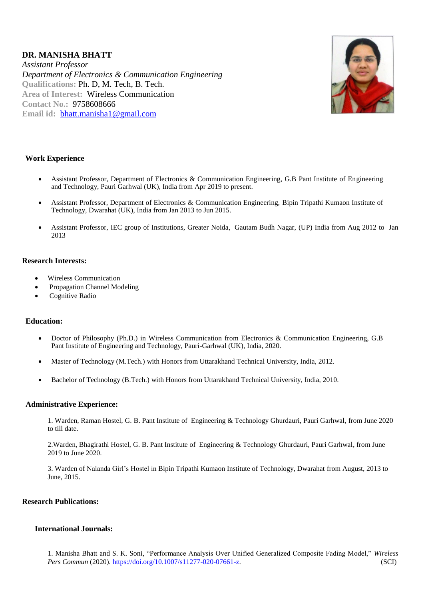# **DR. MANISHA BHATT**

*Assistant Professor Department of Electronics & Communication Engineering* **Qualifications:** Ph. D, M. Tech, B. Tech. **Area of Interest:** Wireless Communication **Contact No.:** 9758608666 **Email id:** [bhatt.manisha1@gmail.com](mailto:bhatt.manisha1@gmail.com)



# **Work Experience**

- Assistant Professor, Department of Electronics & Communication Engineering, G.B Pant Institute of Engineering and Technology, Pauri Garhwal (UK), India from Apr 2019 to present.
- Assistant Professor, Department of Electronics & Communication Engineering, Bipin Tripathi Kumaon Institute of Technology, Dwarahat (UK), India from Jan 2013 to Jun 2015.
- Assistant Professor, IEC group of Institutions, Greater Noida, Gautam Budh Nagar, (UP) India from Aug 2012 to Jan 2013

### **Research Interests:**

- Wireless Communication
- Propagation Channel Modeling
- Cognitive Radio

### **Education:**

- Doctor of Philosophy (Ph.D.) in Wireless Communication from Electronics & Communication Engineering, G.B Pant Institute of Engineering and Technology, Pauri-Garhwal (UK), India, 2020.
- Master of Technology (M.Tech.) with Honors from Uttarakhand Technical University, India, 2012.
- Bachelor of Technology (B.Tech.) with Honors from Uttarakhand Technical University, India, 2010.

#### **Administrative Experience:**

1. Warden, Raman Hostel, G. B. Pant Institute of Engineering & Technology Ghurdauri, Pauri Garhwal, from June 2020 to till date.

2.Warden, Bhagirathi Hostel, G. B. Pant Institute of Engineering & Technology Ghurdauri, Pauri Garhwal, from June 2019 to June 2020.

3. Warden of Nalanda Girl's Hostel in Bipin Tripathi Kumaon Institute of Technology, Dwarahat from August, 2013 to June, 2015.

### **Research Publications:**

### **International Journals:**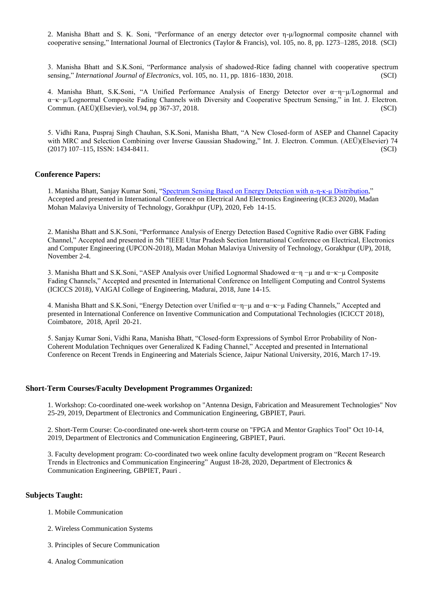2. Manisha Bhatt and S. K. Soni, "Performance of an energy detector over η-μ/lognormal composite channel with cooperative sensing," International Journal of Electronics (Taylor & Francis), vol. 105, no. 8, pp. 1273–1285, 2018. (SCI)

3. Manisha Bhatt and S.K.Soni, "Performance analysis of shadowed-Rice fading channel with cooperative spectrum sensing," *International Journal of Electronics*, vol. 105, no. 11, pp. 1816–1830, 2018. (SCI)

4. Manisha Bhatt, S.K.Soni, "A Unified Performance Analysis of Energy Detector over α−η−µ/Lognormal and α−κ−µ/Lognormal Composite Fading Channels with Diversity and Cooperative Spectrum Sensing," in Int. J. Electron. Commun. (AEÜ)(Elsevier), vol.94, pp 367-37, 2018. (SCI)

5. Vidhi Rana, Puspraj Singh Chauhan, S.K.Soni, Manisha Bhatt, "A New Closed-form of ASEP and Channel Capacity with MRC and Selection Combining over Inverse Gaussian Shadowing," Int. J. Electron. Commun. (AEÜ)(Elsevier) 74 (2017) 107–115, ISSN: 1434-8411. (SCI)

#### **Conference Papers:**

1. Manisha Bhatt, Sanjay Kumar Soni, ["Spectrum Sensing Based on Energy Detection with α-η-κ-μ Distribution,"](https://ieeexplore.ieee.org/document/9122955/) Accepted and presented in International Conference on Electrical And Electronics Engineering (ICE3 2020), Madan Mohan Malaviya University of Technology, Gorakhpur (UP), 2020, Feb 14-15.

2. Manisha Bhatt and S.K.Soni, "Performance Analysis of Energy Detection Based Cognitive Radio over GBK Fading Channel," Accepted and presented in 5th "IEEE Uttar Pradesh Section International Conference on Electrical, Electronics and Computer Engineering (UPCON-2018), Madan Mohan Malaviya University of Technology, Gorakhpur (UP), 2018, November 2-4.

3. Manisha Bhatt and S.K.Soni, "ASEP Analysis over Unified Lognormal Shadowed α−η −µ and α−κ−µ Composite Fading Channels," Accepted and presented in International Conference on Intelligent Computing and Control Systems (ICICCS 2018), VAIGAI College of Engineering, Madurai, 2018, June 14-15.

4. Manisha Bhatt and S.K.Soni, "Energy Detection over Unified α−η−µ and α−κ−µ Fading Channels," Accepted and presented in International Conference on Inventive Communication and Computational Technologies (ICICCT 2018), Coimbatore, 2018, April 20-21.

5. Sanjay Kumar Soni, Vidhi Rana, Manisha Bhatt, "Closed-form Expressions of Symbol Error Probability of Non-Coherent Modulation Techniques over Generalized K Fading Channel," Accepted and presented in International Conference on Recent Trends in Engineering and Materials Science, Jaipur National University, 2016, March 17-19.

#### **Short-Term Courses/Faculty Development Programmes Organized:**

1. Workshop: Co-coordinated one-week workshop on "Antenna Design, Fabrication and Measurement Technologies" Nov 25-29, 2019, Department of Electronics and Communication Engineering, GBPIET, Pauri.

2. Short-Term Course: Co-coordinated one-week short-term course on "FPGA and Mentor Graphics Tool" Oct 10-14, 2019, Department of Electronics and Communication Engineering, GBPIET, Pauri.

3. Faculty development program: Co-coordinated two week online faculty development program on "Recent Research Trends in Electronics and Communication Engineering" August 18-28, 2020, Department of Electronics & Communication Engineering, GBPIET, Pauri .

#### **Subjects Taught:**

- 1. Mobile Communication
- 2. Wireless Communication Systems
- 3. Principles of Secure Communication
- 4. Analog Communication